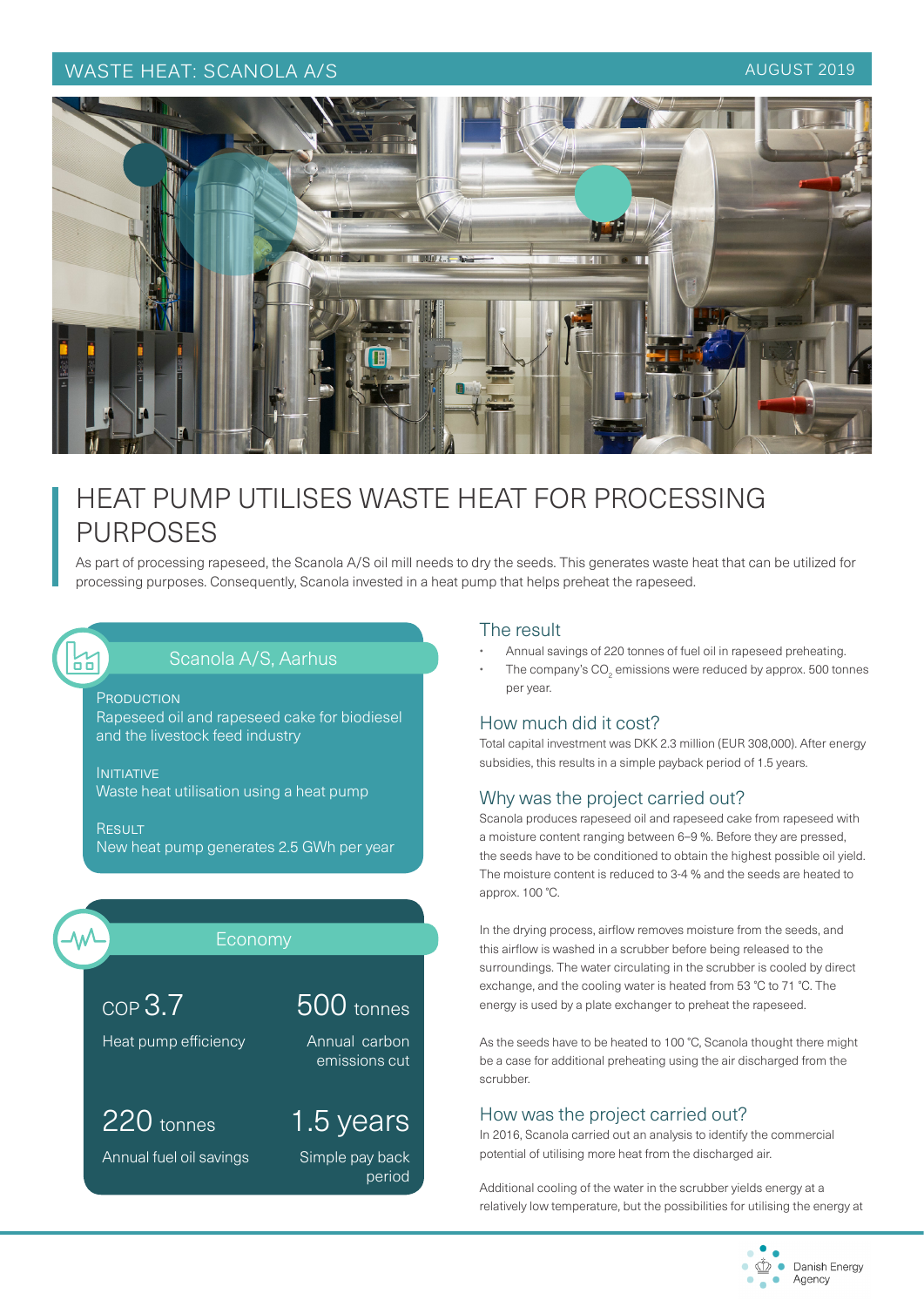## WASTE HEAT: SCANOLA A/S AUGUST 2019



# HEAT PUMP UTILISES WASTE HEAT FOR PROCESSING PURPOSES

As part of processing rapeseed, the Scanola A/S oil mill needs to dry the seeds. This generates waste heat that can be utilized for processing purposes. Consequently, Scanola invested in a heat pump that helps preheat the rapeseed.

# Scanola A/S, Aarhus

**PRODUCTION** Rapeseed oil and rapeseed cake for biodiesel and the livestock feed industry

**INITIATIVE** Waste heat utilisation using a heat pump

**RESULT** New heat pump generates 2.5 GWh per year



얾

# Economy

500 tonnes

Annual carbon emissions cut

1.5 years

Simple pay back

period

Heat pump efficiency

COP 3.7

220 tonnes

Annual fuel oil savings

#### The result

- Annual savings of 220 tonnes of fuel oil in rapeseed preheating.
- The company's CO<sub>2</sub> emissions were reduced by approx. 500 tonnes per year.

### How much did it cost?

Total capital investment was DKK 2.3 million (EUR 308,000). After energy subsidies, this results in a simple payback period of 1.5 years.

### Why was the project carried out?

Scanola produces rapeseed oil and rapeseed cake from rapeseed with a moisture content ranging between 6–9 %. Before they are pressed, the seeds have to be conditioned to obtain the highest possible oil yield. The moisture content is reduced to 3-4 % and the seeds are heated to approx. 100 °C.

In the drying process, airflow removes moisture from the seeds, and this airflow is washed in a scrubber before being released to the surroundings. The water circulating in the scrubber is cooled by direct exchange, and the cooling water is heated from 53 °C to 71 °C. The energy is used by a plate exchanger to preheat the rapeseed.

As the seeds have to be heated to 100 °C, Scanola thought there might be a case for additional preheating using the air discharged from the scrubber.

### How was the project carried out?

In 2016, Scanola carried out an analysis to identify the commercial potential of utilising more heat from the discharged air.

Additional cooling of the water in the scrubber yields energy at a relatively low temperature, but the possibilities for utilising the energy at